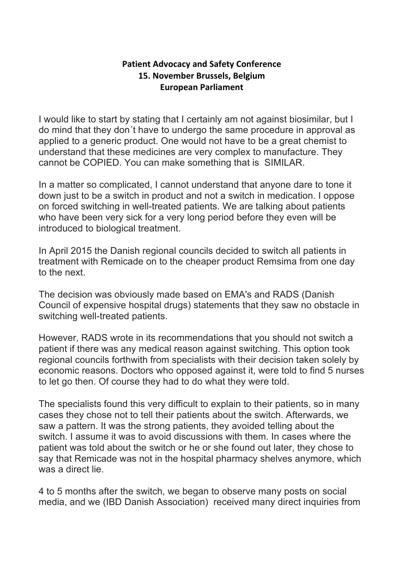## **Patient Advocacy and Safety Conference 15. November Brussels, Belgium European Parliament**

I would like to start by stating that I certainly am not against biosimilar, but I do mind that they don´t have to undergo the same procedure in approval as applied to a generic product. One would not have to be a great chemist to understand that these medicines are very complex to manufacture. They cannot be COPIED. You can make something that is SIMILAR.

In a matter so complicated, I cannot understand that anyone dare to tone it down just to be a switch in product and not a switch in medication. I oppose on forced switching in well-treated patients. We are talking about patients who have been very sick for a very long period before they even will be introduced to biological treatment.

In April 2015 the Danish regional councils decided to switch all patients in treatment with Remicade on to the cheaper product Remsima from one day to the next.

The decision was obviously made based on EMA's and RADS (Danish Council of expensive hospital drugs) statements that they saw no obstacle in switching well-treated patients.

However, RADS wrote in its recommendations that you should not switch a patient if there was any medical reason against switching. This option took regional councils forthwith from specialists with their decision taken solely by economic reasons. Doctors who opposed against it, were told to find 5 nurses to let go then. Of course they had to do what they were told.

The specialists found this very difficult to explain to their patients, so in many cases they chose not to tell their patients about the switch. Afterwards, we saw a pattern. It was the strong patients, they avoided telling about the switch. I assume it was to avoid discussions with them. In cases where the patient was told about the switch or he or she found out later, they chose to say that Remicade was not in the hospital pharmacy shelves anymore, which was a direct lie.

4 to 5 months after the switch, we began to observe many posts on social media, and we (IBD Danish Association) received many direct inquiries from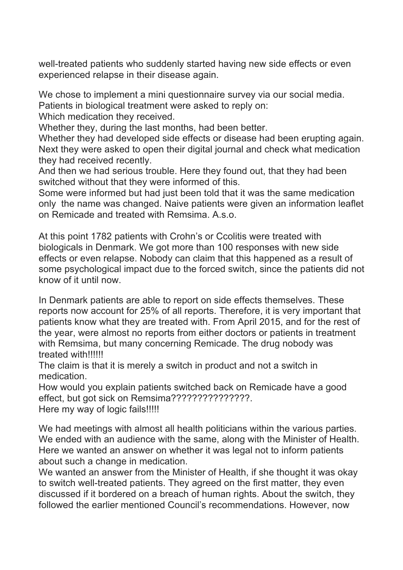well-treated patients who suddenly started having new side effects or even experienced relapse in their disease again.

We chose to implement a mini questionnaire survey via our social media. Patients in biological treatment were asked to reply on:

Which medication they received.

Whether they, during the last months, had been better.

Whether they had developed side effects or disease had been erupting again. Next they were asked to open their digital journal and check what medication they had received recently.

And then we had serious trouble. Here they found out, that they had been switched without that they were informed of this.

Some were informed but had just been told that it was the same medication only the name was changed. Naive patients were given an information leaflet on Remicade and treated with Remsima. A.s.o.

At this point 1782 patients with Crohn's or Ccolitis were treated with biologicals in Denmark. We got more than 100 responses with new side effects or even relapse. Nobody can claim that this happened as a result of some psychological impact due to the forced switch, since the patients did not know of it until now.

In Denmark patients are able to report on side effects themselves. These reports now account for 25% of all reports. Therefore, it is very important that patients know what they are treated with. From April 2015, and for the rest of the year, were almost no reports from either doctors or patients in treatment with Remsima, but many concerning Remicade. The drug nobody was treated with!!!!!!

The claim is that it is merely a switch in product and not a switch in medication.

How would you explain patients switched back on Remicade have a good effect, but got sick on Remsima???????????????????. Here my way of logic fails!!!!!

We had meetings with almost all health politicians within the various parties. We ended with an audience with the same, along with the Minister of Health. Here we wanted an answer on whether it was legal not to inform patients about such a change in medication.

We wanted an answer from the Minister of Health, if she thought it was okay to switch well-treated patients. They agreed on the first matter, they even discussed if it bordered on a breach of human rights. About the switch, they followed the earlier mentioned Council's recommendations. However, now